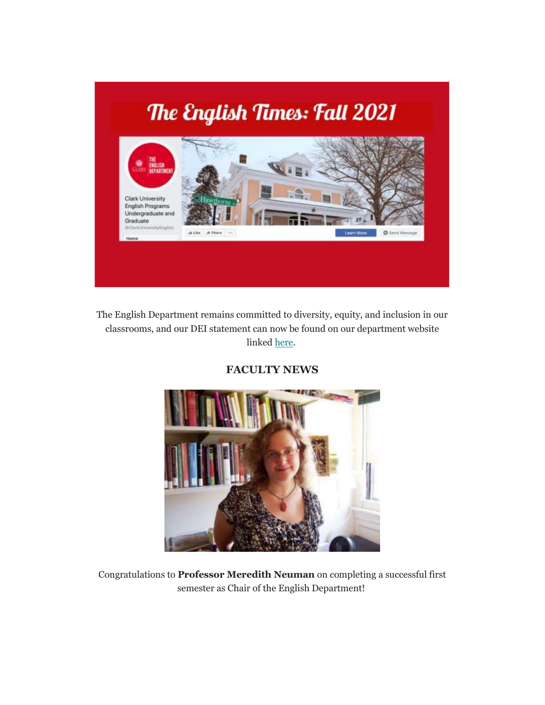

The English Department remains committed to diversity, equity, and inclusion in our classrooms, and our DEI statement can now be found on our department website linked [here.](https://www.clarku.edu/departments/english/english-department-statement/)

**FACULTY NEWS**



Congratulations to **Professor Meredith Neuman** on completing a successful first semester as Chair of the English Department!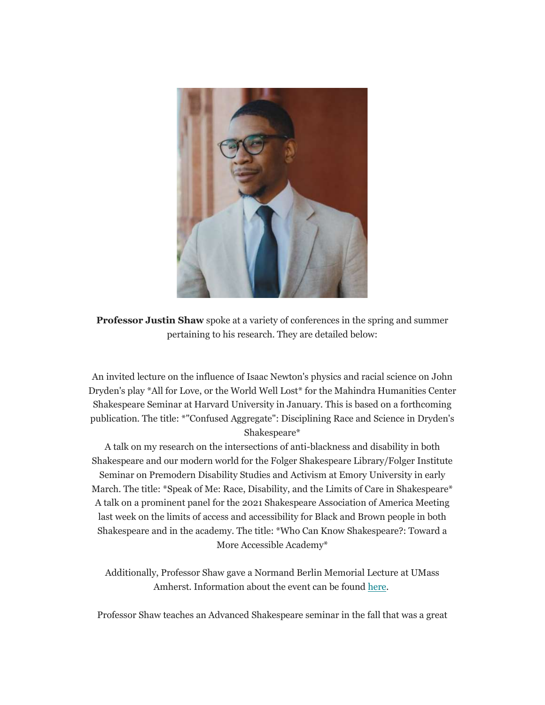

**Professor Justin Shaw** spoke at a variety of conferences in the spring and summer pertaining to his research. They are detailed below:

An invited lecture on the influence of Isaac Newton's physics and racial science on John Dryden's play \*All for Love, or the World Well Lost\* for the Mahindra Humanities Center Shakespeare Seminar at Harvard University in January. This is based on a forthcoming publication. The title: \*"Confused Aggregate": Disciplining Race and Science in Dryden's Shakespeare\*

A talk on my research on the intersections of anti-blackness and disability in both Shakespeare and our modern world for the Folger Shakespeare Library/Folger Institute Seminar on Premodern Disability Studies and Activism at Emory University in early March. The title: \*Speak of Me: Race, Disability, and the Limits of Care in Shakespeare\* A talk on a prominent panel for the 2021 Shakespeare Association of America Meeting last week on the limits of access and accessibility for Black and Brown people in both Shakespeare and in the academy. The title: \*Who Can Know Shakespeare?: Toward a More Accessible Academy\*

Additionally, Professor Shaw gave a Normand Berlin Memorial Lecture at UMass Amherst. Information about the event can be found [here.](https://www.umass.edu/renaissance/event/justin-shaw-clark-university-normand-berlin-memorial-lecture)

Professor Shaw teaches an Advanced Shakespeare seminar in the fall that was a great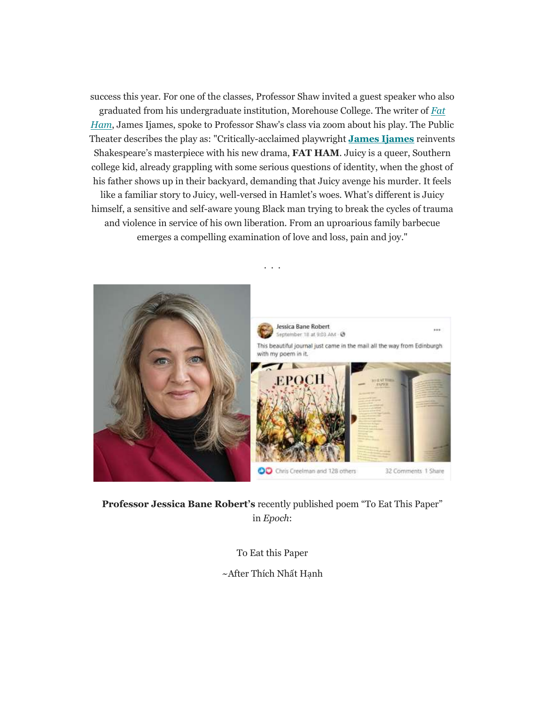success this year. For one of the classes, Professor Shaw invited a guest speaker who also graduated from his undergraduate institution, Morehouse College. The writer of *[Fat](https://wilmatheater.org/event/fat-ham/)  [Ham](https://wilmatheater.org/event/fat-ham/)*, James Ijames, spoke to Professor Shaw's class via zoom about his play. The Public Theater describes the play as: "Critically-acclaimed playwright **[James Ijames](https://www.jamesijames.com/words)** reinvents Shakespeare's masterpiece with his new drama, **FAT HAM**. Juicy is a queer, Southern college kid, already grappling with some serious questions of identity, when the ghost of his father shows up in their backyard, demanding that Juicy avenge his murder. It feels like a familiar story to Juicy, well-versed in Hamlet's woes. What's different is Juicy himself, a sensitive and self-aware young Black man trying to break the cycles of trauma and violence in service of his own liberation. From an uproarious family barbecue emerges a compelling examination of love and loss, pain and joy."



**Professor Jessica Bane Robert's** recently published poem "To Eat This Paper" in *Epoch*:

To Eat this Paper

~After Thích Nhất Hạnh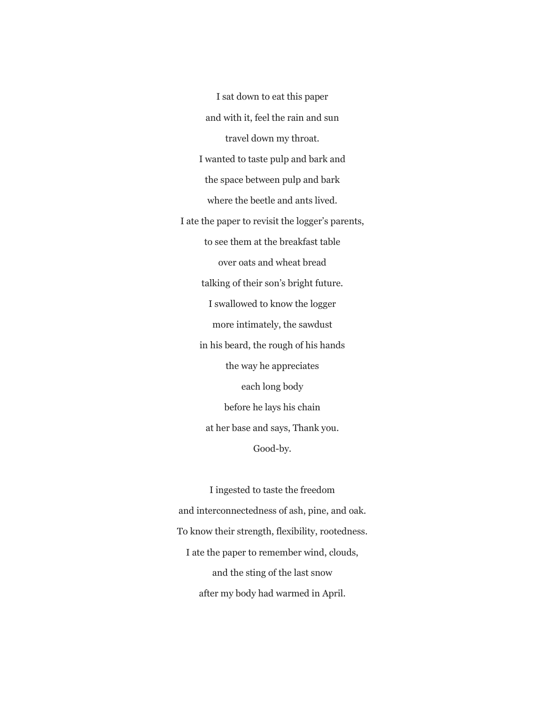I sat down to eat this paper and with it, feel the rain and sun travel down my throat. I wanted to taste pulp and bark and the space between pulp and bark where the beetle and ants lived. I ate the paper to revisit the logger's parents, to see them at the breakfast table over oats and wheat bread talking of their son's bright future. I swallowed to know the logger more intimately, the sawdust in his beard, the rough of his hands the way he appreciates each long body before he lays his chain at her base and says, Thank you. Good-by.

I ingested to taste the freedom and interconnectedness of ash, pine, and oak. To know their strength, flexibility, rootedness. I ate the paper to remember wind, clouds, and the sting of the last snow after my body had warmed in April.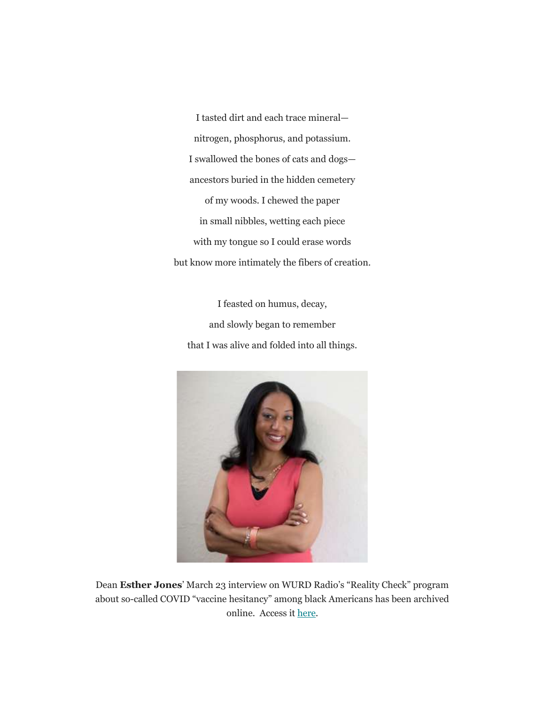I tasted dirt and each trace mineral nitrogen, phosphorus, and potassium. I swallowed the bones of cats and dogs ancestors buried in the hidden cemetery of my woods. I chewed the paper in small nibbles, wetting each piece with my tongue so I could erase words but know more intimately the fibers of creation.

I feasted on humus, decay, and slowly began to remember that I was alive and folded into all things.



Dean **Esther Jones**' March 23 interview on WURD Radio's "Reality Check" program about so-called COVID "vaccine hesitancy" among black Americans has been archived online. Access it [here.](https://soundcloud.com/onwurd/reality-check-32321-esther-jones)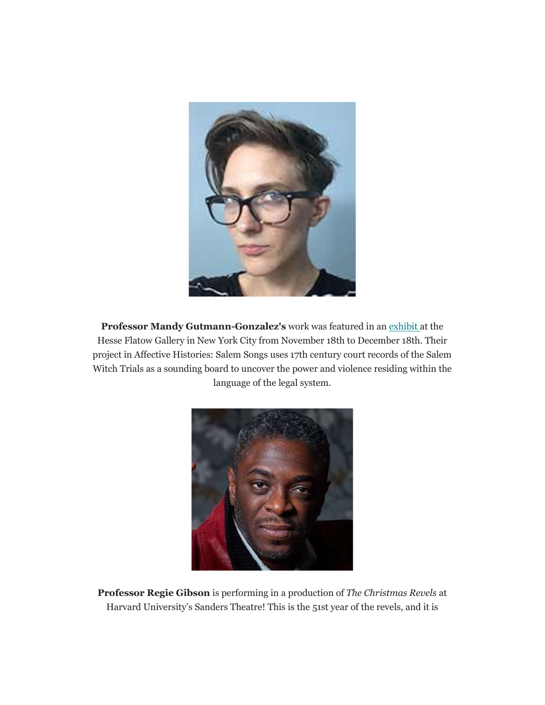

Professor Mandy Gutmann-Gonzalez's work was featured in an [exhibit](https://mandygutmanngonzalez.com/about/exhibitions/) at the Hesse Flatow Gallery in New York City from November 18th to December 18th. Their project in Affective Histories: Salem Songs uses 17th century court records of the Salem Witch Trials as a sounding board to uncover the power and violence residing within the language of the legal system.



**Professor Regie Gibson** is performing in a production of *The Christmas Revels* at Harvard University's Sanders Theatre! This is the 51st year of the revels, and it is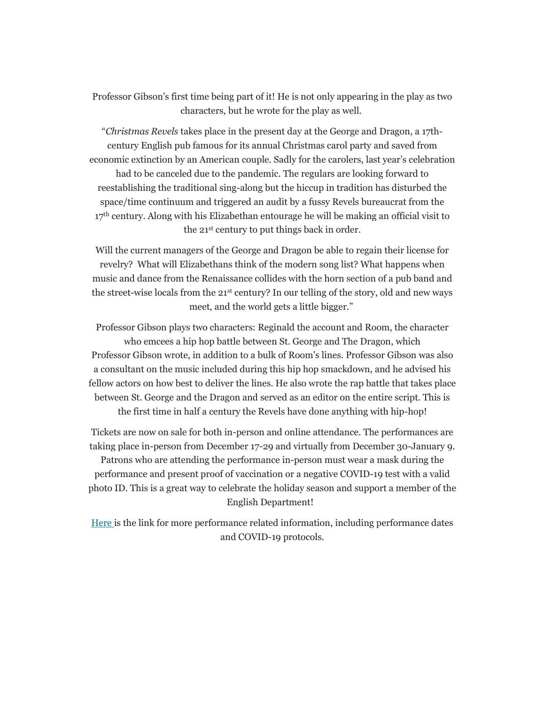Professor Gibson's first time being part of it! He is not only appearing in the play as two characters, but he wrote for the play as well.

"*Christmas Revels* takes place in the present day at the George and Dragon, a 17thcentury English pub famous for its annual Christmas carol party and saved from economic extinction by an American couple. Sadly for the carolers, last year's celebration had to be canceled due to the pandemic. The regulars are looking forward to reestablishing the traditional sing-along but the hiccup in tradition has disturbed the space/time continuum and triggered an audit by a fussy Revels bureaucrat from the 17<sup>th</sup> century. Along with his Elizabethan entourage he will be making an official visit to the 21st century to put things back in order.

Will the current managers of the George and Dragon be able to regain their license for revelry? What will Elizabethans think of the modern song list? What happens when music and dance from the Renaissance collides with the horn section of a pub band and the street-wise locals from the  $21^{st}$  century? In our telling of the story, old and new ways meet, and the world gets a little bigger."

Professor Gibson plays two characters: Reginald the account and Room, the character who emcees a hip hop battle between St. George and The Dragon, which Professor Gibson wrote, in addition to a bulk of Room's lines. Professor Gibson was also a consultant on the music included during this hip hop smackdown, and he advised his fellow actors on how best to deliver the lines. He also wrote the rap battle that takes place between St. George and the Dragon and served as an editor on the entire script. This is the first time in half a century the Revels have done anything with hip-hop!

Tickets are now on sale for both in-person and online attendance. The performances are taking place in-person from December 17-29 and virtually from December 30-January 9. Patrons who are attending the performance in-person must wear a mask during the performance and present proof of vaccination or a negative COVID-19 test with a valid photo ID. This is a great way to celebrate the holiday season and support a member of the English Department!

[Here](https://www.revels.org/shows-events/christmas-revels/) is the link for more performance related information, including performance dates and COVID-19 protocols.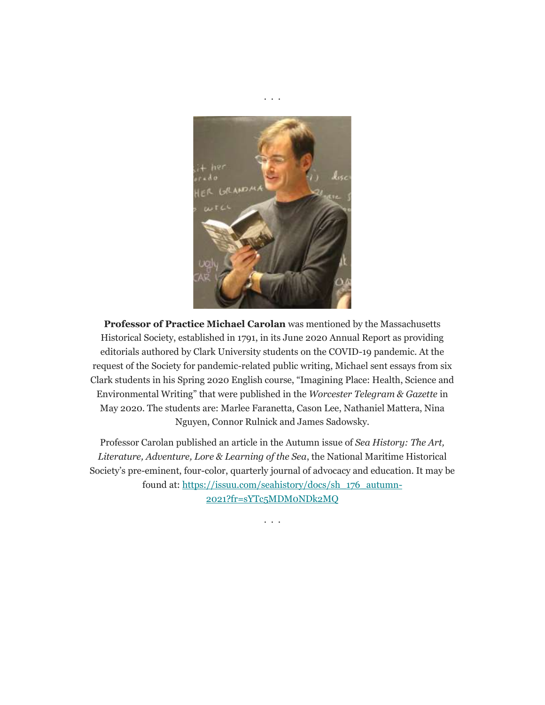

. . .

**Professor of Practice Michael Carolan** was mentioned by the Massachusetts Historical Society, established in 1791, in its June 2020 Annual Report as providing editorials authored by Clark University students on the COVID-19 pandemic. At the request of the Society for pandemic-related public writing, Michael sent essays from six Clark students in his Spring 2020 English course, "Imagining Place: Health, Science and Environmental Writing" that were published in the *Worcester Telegram & Gazette* in May 2020. The students are: Marlee Faranetta, Cason Lee, Nathaniel Mattera, Nina Nguyen, Connor Rulnick and James Sadowsky.

Professor Carolan published an article in the Autumn issue of *Sea History: The Art, Literature, Adventure, Lore & Learning of the Sea*, the National Maritime Historical Society's pre-eminent, four-color, quarterly journal of advocacy and education. It may be found at: [https://issuu.com/seahistory/docs/sh\\_176\\_autumn-](https://nam10.safelinks.protection.outlook.com/?url=https%3A%2F%2Fissuu.com%2Fseahistory%2Fdocs%2Fsh_176_autumn-2021%3Ffr%3DsYTc5MDM0NDk2MQ&data=04%7C01%7CCGuerrini%40clarku.edu%7C99dda44d14834e5698b208d9adf82821%7Cb5b2263d68aa453eb972aa1421410f80%7C0%7C0%7C637732103595097315%7CUnknown%7CTWFpbGZsb3d8eyJWIjoiMC4wLjAwMDAiLCJQIjoiV2luMzIiLCJBTiI6Ik1haWwiLCJXVCI6Mn0%3D%7C3000&sdata=DMmenupl%2FqqeJvynqsRIeG7fv73zfe416LeJjMY9vro%3D&reserved=0)[2021?fr=sYTc5MDM0NDk2MQ](https://nam10.safelinks.protection.outlook.com/?url=https%3A%2F%2Fissuu.com%2Fseahistory%2Fdocs%2Fsh_176_autumn-2021%3Ffr%3DsYTc5MDM0NDk2MQ&data=04%7C01%7CCGuerrini%40clarku.edu%7C99dda44d14834e5698b208d9adf82821%7Cb5b2263d68aa453eb972aa1421410f80%7C0%7C0%7C637732103595097315%7CUnknown%7CTWFpbGZsb3d8eyJWIjoiMC4wLjAwMDAiLCJQIjoiV2luMzIiLCJBTiI6Ik1haWwiLCJXVCI6Mn0%3D%7C3000&sdata=DMmenupl%2FqqeJvynqsRIeG7fv73zfe416LeJjMY9vro%3D&reserved=0)

. . .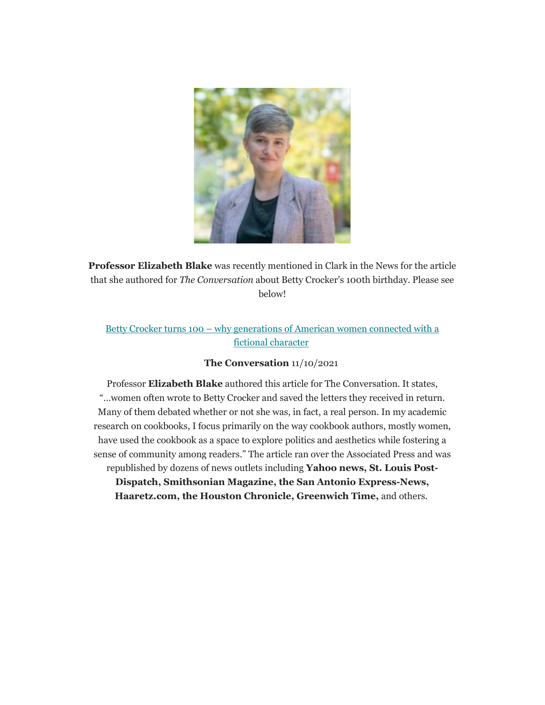

**Professor Elizabeth Blake** was recently mentioned in Clark in the News for the article that she authored for *The Conversation* about Betty Crocker's 100th birthday. Please see below!

# Betty Crocker turns 100 – [why generations of American women connected with a](https://nam10.safelinks.protection.outlook.com/?url=https%3A%2F%2Ftheconversation.com%2Fbetty-crocker-turns-100-why-generations-of-american-women-connected-with-a-fictional-character-168443&data=04%7C01%7Cga_english%40clarku.edu%7Ca7dc46d552b14fa97f6a08d9a9236366%7Cb5b2263d68aa453eb972aa1421410f80%7C0%7C0%7C637726791713334686%7CUnknown%7CTWFpbGZsb3d8eyJWIjoiMC4wLjAwMDAiLCJQIjoiV2luMzIiLCJBTiI6Ik1haWwiLCJXVCI6Mn0%3D%7C3000&sdata=cMMeWxJmXzEO4NjYpT8rmUiNs1lsshuhrw2XDvbKc0c%3D&reserved=0)  fictional [character](https://nam10.safelinks.protection.outlook.com/?url=https%3A%2F%2Ftheconversation.com%2Fbetty-crocker-turns-100-why-generations-of-american-women-connected-with-a-fictional-character-168443&data=04%7C01%7Cga_english%40clarku.edu%7Ca7dc46d552b14fa97f6a08d9a9236366%7Cb5b2263d68aa453eb972aa1421410f80%7C0%7C0%7C637726791713334686%7CUnknown%7CTWFpbGZsb3d8eyJWIjoiMC4wLjAwMDAiLCJQIjoiV2luMzIiLCJBTiI6Ik1haWwiLCJXVCI6Mn0%3D%7C3000&sdata=cMMeWxJmXzEO4NjYpT8rmUiNs1lsshuhrw2XDvbKc0c%3D&reserved=0)

## **The Conversation** 11/10/2021

Professor **Elizabeth Blake** authored this article for The Conversation. It states, "…women often wrote to Betty Crocker and saved the letters they received in return. Many of them debated whether or not she was, in fact, a real person. In my academic research on cookbooks, I focus primarily on the way cookbook authors, mostly women, have used the cookbook as a space to explore politics and aesthetics while fostering a sense of community among readers." The article ran over the Associated Press and was republished by dozens of news outlets including **Yahoo news, St. Louis Post-**

**Dispatch, Smithsonian Magazine, the San Antonio Express-News, Haaretz.com, the Houston Chronicle, Greenwich Time,** and others.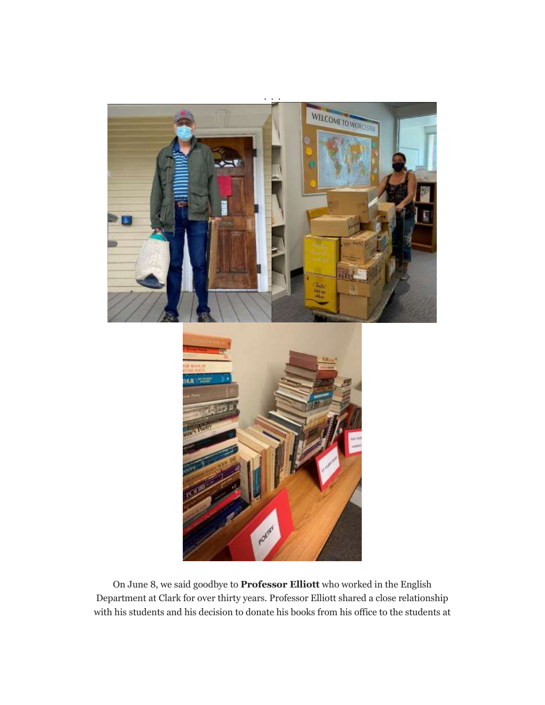

On June 8, we said goodbye to **Professor Elliott** who worked in the English Department at Clark for over thirty years. Professor Elliott shared a close relationship with his students and his decision to donate his books from his office to the students at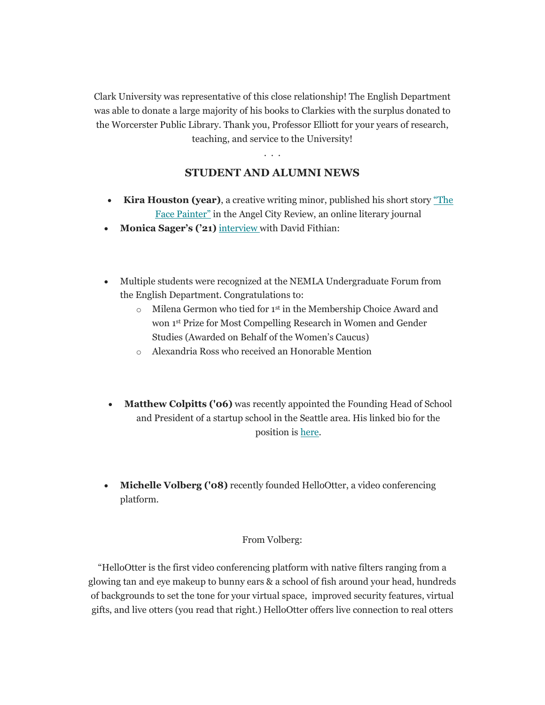Clark University was representative of this close relationship! The English Department was able to donate a large majority of his books to Clarkies with the surplus donated to the Worcerster Public Library. Thank you, Professor Elliott for your years of research, teaching, and service to the University!

. . .

# **STUDENT AND ALUMNI NEWS**

- **Kira Houston (year)**, a creative writing minor, published his short story ["The](https://angelcityreview.com/)  [Face Painter"](https://angelcityreview.com/) in the Angel City Review, an online literary journal
- **Monica Sager's ('21)** [interview](https://centralmasstownsquare.com/clark-university-president-looking-forward-to-more-traditional-academic-year/) with David Fithian:
- Multiple students were recognized at the NEMLA Undergraduate Forum from the English Department. Congratulations to:
	- o Milena Germon who tied for 1st in the Membership Choice Award and won 1st Prize for Most Compelling Research in Women and Gender Studies (Awarded on Behalf of the Women's Caucus)
	- o Alexandria Ross who received an Honorable Mention
- **Matthew Colpitts ('06)** was recently appointed the Founding Head of School and President of a startup school in the Seattle area. His linked bio for the position is [here.](https://www.ventures-academy.org/staff)
- **Michelle Volberg ('08)** recently founded HelloOtter, a video conferencing platform.

## From Volberg:

"HelloOtter is the first video conferencing platform with native filters ranging from a glowing tan and eye makeup to bunny ears & a school of fish around your head, hundreds of backgrounds to set the tone for your virtual space, improved security features, virtual gifts, and live otters (you read that right.) HelloOtter offers live connection to real otters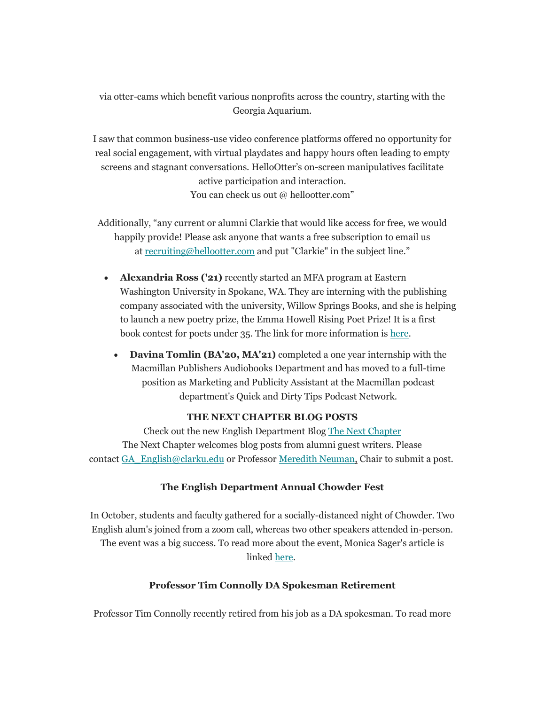via otter-cams which benefit various nonprofits across the country, starting with the Georgia Aquarium.

I saw that common business-use video conference platforms offered no opportunity for real social engagement, with virtual playdates and happy hours often leading to empty screens and stagnant conversations. HelloOtter's on-screen manipulatives facilitate active participation and interaction. You can check us out @ hellootter.com"

Additionally, "any current or alumni Clarkie that would like access for free, we would happily provide! Please ask anyone that wants a free subscription to email us at [recruiting@hellootter.com](mailto:recruiting@hellootter.com) and put "Clarkie" in the subject line."

- **Alexandria Ross ('21)** recently started an MFA program at Eastern Washington University in Spokane, WA. They are interning with the publishing company associated with the university, Willow Springs Books, and she is helping to launch a new poetry prize, the Emma Howell Rising Poet Prize! It is a first book contest for poets under 35. The link for more information is [here.](https://wse.submittable.com/submit/206917/submit-to-the-2022-emma-howell-rising-poet-prize?previousLoginDate=2021-10-25T22%3a25%3a58.4770000Z)
	- **Davina Tomlin (BA'20, MA'21)** completed a one year internship with the Macmillan Publishers Audiobooks Department and has moved to a full-time position as Marketing and Publicity Assistant at the Macmillan podcast department's Quick and Dirty Tips Podcast Network.

### **THE NEXT CHAPTER BLOG POSTS**

Check out the new English Department Blog [The Next Chapter](https://news.clarku.edu/next-chapter/) The Next Chapter welcomes blog posts from alumni guest writers. Please contact [GA\\_English@clarku.edu](mailto:GA_English@clarku.edu) or Professor [M](mailto:LKasmer@clarku.edu)[eredith Neuman,](mailto:MeNeuman@clarku.edu) Chair to submit a post.

#### **The English Department Annual Chowder Fest**

In October, students and faculty gathered for a socially-distanced night of Chowder. Two English alum's joined from a zoom call, whereas two other speakers attended in-person. The event was a big success. To read more about the event, Monica Sager's article is linked [here.](https://news.clarku.edu/next-chapter/2021/11/04/chowder-fest-fall-2021/)

### **Professor Tim Connolly DA Spokesman Retirement**

Professor Tim Connolly recently retired from his job as a DA spokesman. To read more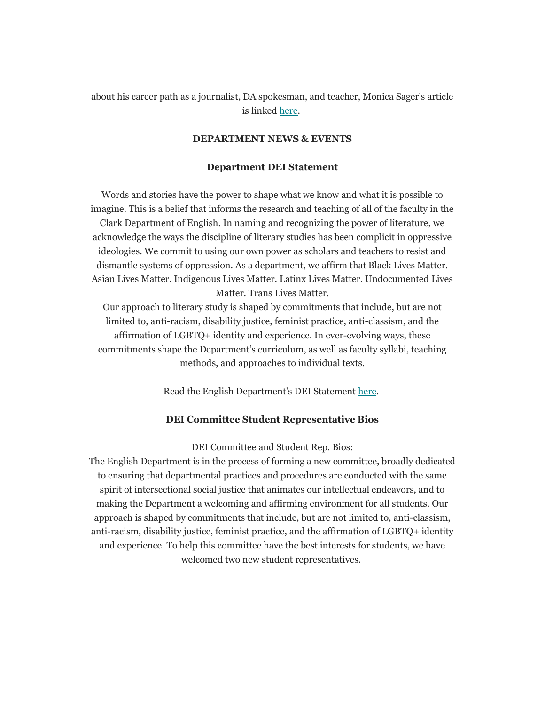## about his career path as a journalist, DA spokesman, and teacher, Monica Sager's article is linked [here.](https://news.clarku.edu/next-chapter/2021/10/26/professor-tim-connolly-from-journalist-to-da-spokesman/)

#### **DEPARTMENT NEWS & EVENTS**

#### **Department DEI Statement**

Words and stories have the power to shape what we know and what it is possible to imagine. This is a belief that informs the research and teaching of all of the faculty in the Clark Department of English. In naming and recognizing the power of literature, we acknowledge the ways the discipline of literary studies has been complicit in oppressive ideologies. We commit to using our own power as scholars and teachers to resist and dismantle systems of oppression. As a department, we affirm that Black Lives Matter. Asian Lives Matter. Indigenous Lives Matter. Latinx Lives Matter. Undocumented Lives Matter. Trans Lives Matter.

Our approach to literary study is shaped by commitments that include, but are not limited to, anti-racism, disability justice, feminist practice, anti-classism, and the affirmation of LGBTQ+ identity and experience. In ever-evolving ways, these commitments shape the Department's curriculum, as well as faculty syllabi, teaching methods, and approaches to individual texts.

Read the English Department's DEI Statement [here.](https://www.clarku.edu/departments/english/english-department-statement/)

#### **DEI Committee Student Representative Bios**

DEI Committee and Student Rep. Bios:

The English Department is in the process of forming a new committee, broadly dedicated to ensuring that departmental practices and procedures are conducted with the same spirit of intersectional social justice that animates our intellectual endeavors, and to making the Department a welcoming and affirming environment for all students. Our approach is shaped by commitments that include, but are not limited to, anti-classism, anti-racism, disability justice, feminist practice, and the affirmation of LGBTQ+ identity and experience. To help this committee have the best interests for students, we have welcomed two new student representatives.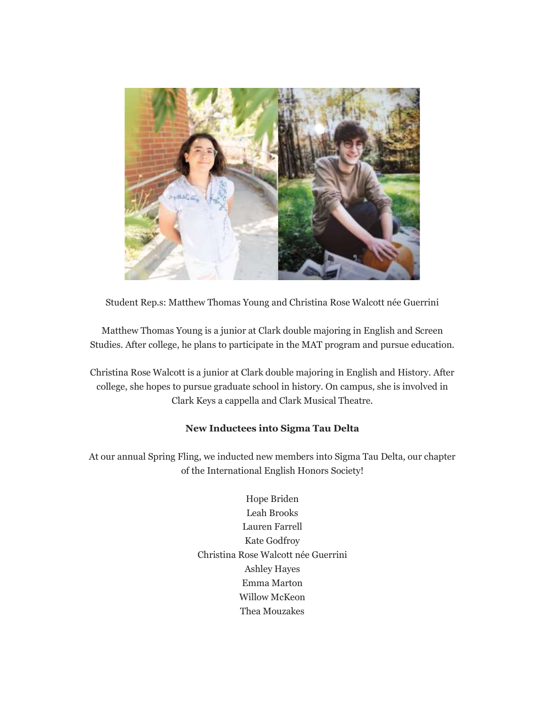

Student Rep.s: Matthew Thomas Young and Christina Rose Walcott née Guerrini

Matthew Thomas Young is a junior at Clark double majoring in English and Screen Studies. After college, he plans to participate in the MAT program and pursue education.

Christina Rose Walcott is a junior at Clark double majoring in English and History. After college, she hopes to pursue graduate school in history. On campus, she is involved in Clark Keys a cappella and Clark Musical Theatre.

## **New Inductees into Sigma Tau Delta**

At our annual Spring Fling, we inducted new members into Sigma Tau Delta, our chapter of the International English Honors Society!

> Hope Briden Leah Brooks Lauren Farrell Kate Godfroy Christina Rose Walcott née Guerrini Ashley Hayes Emma Marton Willow McKeon Thea Mouzakes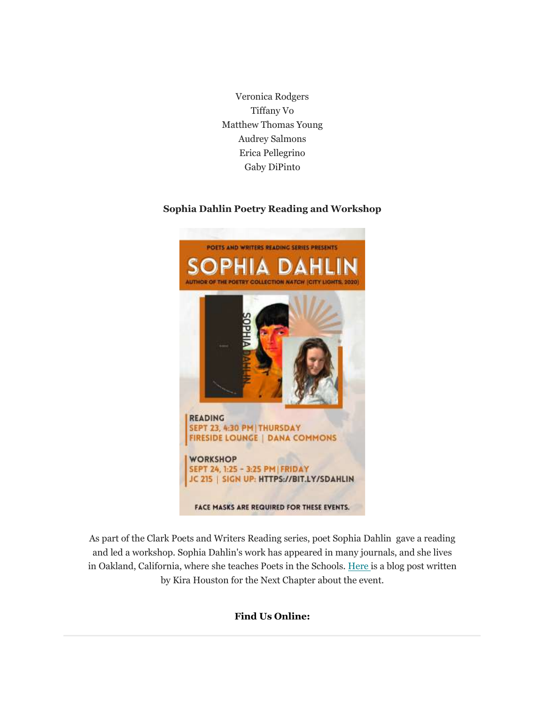Veronica Rodgers Tiffany Vo Matthew Thomas Young Audrey Salmons Erica Pellegrino Gaby DiPinto

## **Sophia Dahlin Poetry Reading and Workshop**



As part of the Clark Poets and Writers Reading series, poet Sophia Dahlin gave a reading and led a workshop. Sophia Dahlin's work has appeared in many journals, and she lives in Oakland, California, where she teaches Poets in the Schools. [Here](https://news.clarku.edu/next-chapter/2021/11/30/sophia-dahlins-poetry-readings-from-natch-and-generative-workshop/) is a blog post written by Kira Houston for the Next Chapter about the event.

## **Find Us Online:**